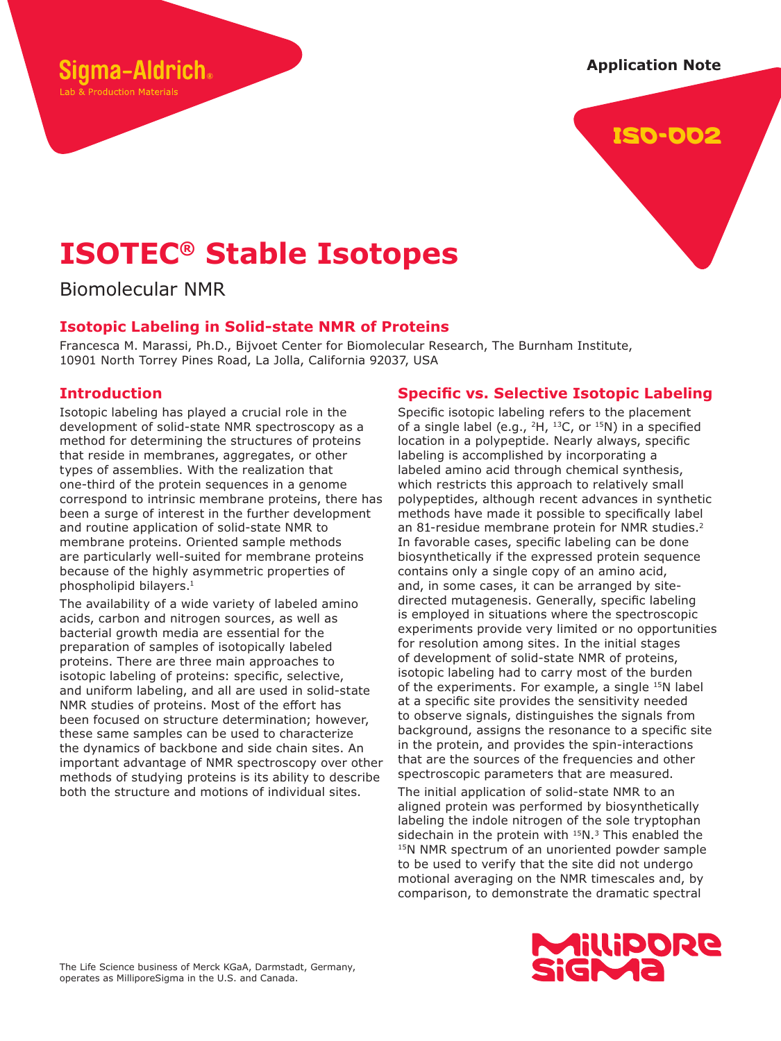#### **Application Note**



# **ISOTEC® Stable Isotopes**

Biomolecular NMR

ama-Aldrich。

Lab & Production Materials

## **Isotopic Labeling in Solid-state NMR of Proteins**

Francesca M. Marassi, Ph.D., Bijvoet Center for Biomolecular Research, The Burnham Institute, 10901 North Torrey Pines Road, La Jolla, California 92037, USA

## **Introduction**

Isotopic labeling has played a crucial role in the development of solid-state NMR spectroscopy as a method for determining the structures of proteins that reside in membranes, aggregates, or other types of assemblies. With the realization that one-third of the protein sequences in a genome correspond to intrinsic membrane proteins, there has been a surge of interest in the further development and routine application of solid-state NMR to membrane proteins. Oriented sample methods are particularly well-suited for membrane proteins because of the highly asymmetric properties of phospholipid bilayers.<sup>1</sup>

The availability of a wide variety of labeled amino acids, carbon and nitrogen sources, as well as bacterial growth media are essential for the preparation of samples of isotopically labeled proteins. There are three main approaches to isotopic labeling of proteins: specific, selective, and uniform labeling, and all are used in solid-state NMR studies of proteins. Most of the effort has been focused on structure determination; however, these same samples can be used to characterize the dynamics of backbone and side chain sites. An important advantage of NMR spectroscopy over other methods of studying proteins is its ability to describe both the structure and motions of individual sites.

## **Specific vs. Selective Isotopic Labeling**

Specific isotopic labeling refers to the placement of a single label (e.g.,  ${}^{2}H$ ,  ${}^{13}C$ , or  ${}^{15}N$ ) in a specified location in a polypeptide. Nearly always, specific labeling is accomplished by incorporating a labeled amino acid through chemical synthesis, which restricts this approach to relatively small polypeptides, although recent advances in synthetic methods have made it possible to specifically label an 81-residue membrane protein for NMR studies.<sup>2</sup> In favorable cases, specific labeling can be done biosynthetically if the expressed protein sequence contains only a single copy of an amino acid, and, in some cases, it can be arranged by sitedirected mutagenesis. Generally, specific labeling is employed in situations where the spectroscopic experiments provide very limited or no opportunities for resolution among sites. In the initial stages of development of solid-state NMR of proteins, isotopic labeling had to carry most of the burden of the experiments. For example, a single <sup>15</sup>N label at a specific site provides the sensitivity needed to observe signals, distinguishes the signals from background, assigns the resonance to a specific site in the protein, and provides the spin-interactions that are the sources of the frequencies and other spectroscopic parameters that are measured.

The initial application of solid-state NMR to an aligned protein was performed by biosynthetically labeling the indole nitrogen of the sole tryptophan sidechain in the protein with <sup>15</sup>N.<sup>3</sup> This enabled the <sup>15</sup>N NMR spectrum of an unoriented powder sample to be used to verify that the site did not undergo motional averaging on the NMR timescales and, by comparison, to demonstrate the dramatic spectral

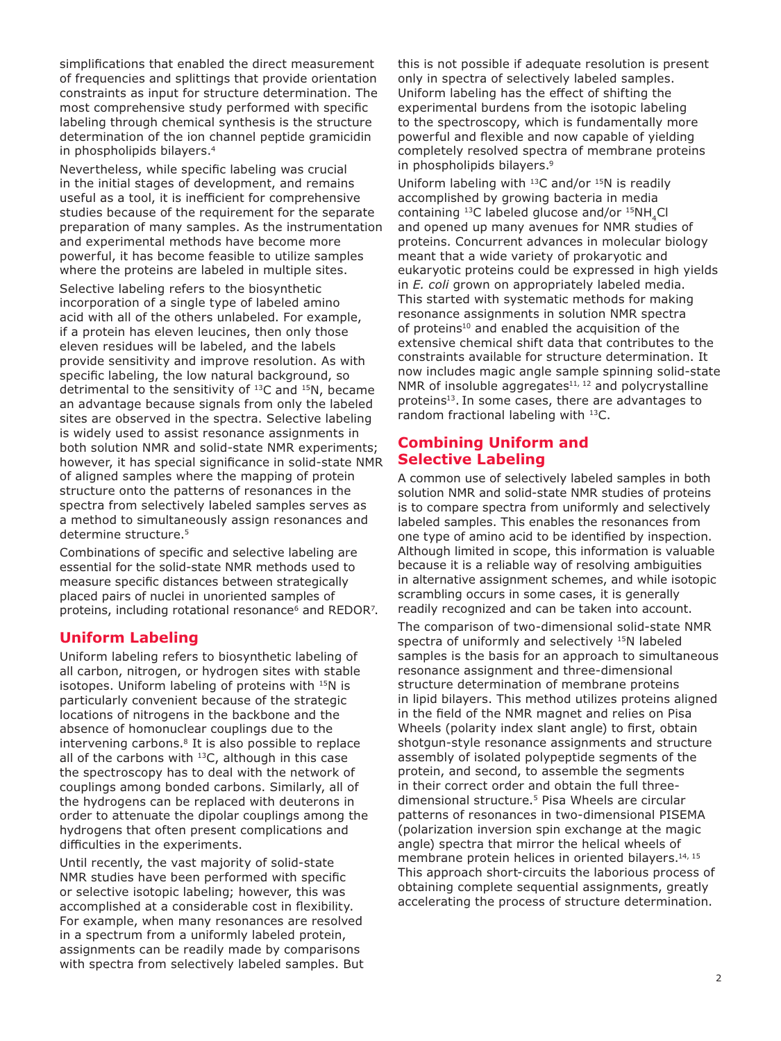simplifications that enabled the direct measurement of frequencies and splittings that provide orientation constraints as input for structure determination. The most comprehensive study performed with specific labeling through chemical synthesis is the structure determination of the ion channel peptide gramicidin in phospholipids bilayers.<sup>4</sup>

Nevertheless, while specific labeling was crucial in the initial stages of development, and remains useful as a tool, it is inefficient for comprehensive studies because of the requirement for the separate preparation of many samples. As the instrumentation and experimental methods have become more powerful, it has become feasible to utilize samples where the proteins are labeled in multiple sites. Selective labeling refers to the biosynthetic incorporation of a single type of labeled amino acid with all of the others unlabeled. For example, if a protein has eleven leucines, then only those eleven residues will be labeled, and the labels provide sensitivity and improve resolution. As with specific labeling, the low natural background, so detrimental to the sensitivity of <sup>13</sup>C and <sup>15</sup>N, became an advantage because signals from only the labeled sites are observed in the spectra. Selective labeling is widely used to assist resonance assignments in both solution NMR and solid-state NMR experiments; however, it has special significance in solid-state NMR of aligned samples where the mapping of protein structure onto the patterns of resonances in the spectra from selectively labeled samples serves as a method to simultaneously assign resonances and determine structure.<sup>5</sup>

Combinations of specific and selective labeling are essential for the solid-state NMR methods used to measure specific distances between strategically placed pairs of nuclei in unoriented samples of proteins, including rotational resonance<sup>6</sup> and REDOR<sup>7</sup>.

#### **Uniform Labeling**

Uniform labeling refers to biosynthetic labeling of all carbon, nitrogen, or hydrogen sites with stable isotopes. Uniform labeling of proteins with <sup>15</sup>N is particularly convenient because of the strategic locations of nitrogens in the backbone and the absence of homonuclear couplings due to the intervening carbons.<sup>8</sup> It is also possible to replace all of the carbons with  $^{13}$ C, although in this case the spectroscopy has to deal with the network of couplings among bonded carbons. Similarly, all of the hydrogens can be replaced with deuterons in order to attenuate the dipolar couplings among the hydrogens that often present complications and difficulties in the experiments.

Until recently, the vast majority of solid-state NMR studies have been performed with specific or selective isotopic labeling; however, this was accomplished at a considerable cost in flexibility. For example, when many resonances are resolved in a spectrum from a uniformly labeled protein, assignments can be readily made by comparisons with spectra from selectively labeled samples. But this is not possible if adequate resolution is present only in spectra of selectively labeled samples. Uniform labeling has the effect of shifting the experimental burdens from the isotopic labeling to the spectroscopy, which is fundamentally more powerful and flexible and now capable of yielding completely resolved spectra of membrane proteins in phospholipids bilayers.<sup>9</sup>

Uniform labeling with  $^{13}$ C and/or  $^{15}$ N is readily accomplished by growing bacteria in media containing  $^{13}$ C labeled glucose and/or  $^{15}NH$ <sub>4</sub>Cl and opened up many avenues for NMR studies of proteins. Concurrent advances in molecular biology meant that a wide variety of prokaryotic and eukaryotic proteins could be expressed in high yields in *E. coli* grown on appropriately labeled media. This started with systematic methods for making resonance assignments in solution NMR spectra of proteins<sup>10</sup> and enabled the acquisition of the extensive chemical shift data that contributes to the constraints available for structure determination. It now includes magic angle sample spinning solid-state NMR of insoluble aggregates $11, 12$  and polycrystalline proteins<sup>13</sup>. In some cases, there are advantages to random fractional labeling with <sup>13</sup>C.

#### **Combining Uniform and Selective Labeling**

A common use of selectively labeled samples in both solution NMR and solid-state NMR studies of proteins is to compare spectra from uniformly and selectively labeled samples. This enables the resonances from one type of amino acid to be identified by inspection. Although limited in scope, this information is valuable because it is a reliable way of resolving ambiguities in alternative assignment schemes, and while isotopic scrambling occurs in some cases, it is generally readily recognized and can be taken into account.

The comparison of two-dimensional solid-state NMR spectra of uniformly and selectively <sup>15</sup>N labeled samples is the basis for an approach to simultaneous resonance assignment and three-dimensional structure determination of membrane proteins in lipid bilayers. This method utilizes proteins aligned in the field of the NMR magnet and relies on Pisa Wheels (polarity index slant angle) to first, obtain shotgun-style resonance assignments and structure assembly of isolated polypeptide segments of the protein, and second, to assemble the segments in their correct order and obtain the full threedimensional structure.<sup>5</sup> Pisa Wheels are circular patterns of resonances in two-dimensional PISEMA (polarization inversion spin exchange at the magic angle) spectra that mirror the helical wheels of membrane protein helices in oriented bilayers.<sup>14, 15</sup> This approach short-circuits the laborious process of obtaining complete sequential assignments, greatly accelerating the process of structure determination.